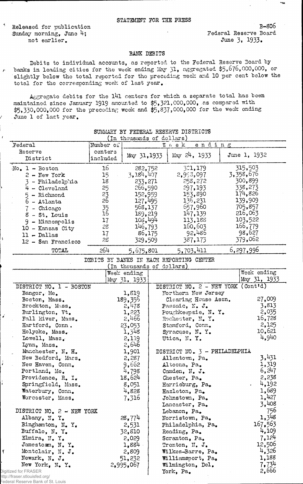Released for publication Sunday morning, June 4; not earlier.

 $\overline{r}$ 

Federal Reserve Board June 3. 1933.

B-8O6

## BAKK DEBITS

Debits to individual accounts, as reported to the Federal Reserve Board by banks in leading cities for the week ending May 31, aggregated \$5,676,000,000, or slightly below the total reported for the preceding week and 10 per cent below the total for the corresponding week of last year.

Aggregate debits for the 141 centers for which a separate total has been maintained since January 1913 amounted to \$5,321,000,000, as compared with  $$5,330,000,000$  for the preceding week and  $$5,837,000,000$  for the week ending June 1 of last year.

|                                  |                 | (In thousands of dollars) |                                          |              |
|----------------------------------|-----------------|---------------------------|------------------------------------------|--------------|
| Federal                          | Number of       |                           | ending<br>$W \in eK$                     |              |
| Reserve                          | centers         | May 31, 1933              | $\text{May } 24, 1933$                   | June 1, 1932 |
| District                         | included        |                           |                                          |              |
| $No. 1 - Boston$                 | 16              | 282,752                   | 301,179                                  | 315,503      |
| $2 - New York$                   | 15              | 3,184,407                 | 2,993,097                                | 3,358,676    |
| 3 - Philadelphia                 | 18              | 233,271                   | 258,272                                  | 300,899      |
| $4 -$ Cleveland                  | 25              | 266,590                   | 297,193                                  | 338,273      |
| $5 -$ Richmond                   | $\frac{25}{26}$ | 152,959                   | 153,890                                  | 174,826      |
| $6 -$ Atlanta                    |                 | 127,495                   | 136,231                                  | 139,909      |
| 7 - Chicago                      | $\frac{35}{16}$ | 568,137                   | 657,960                                  | 705,857      |
| 8 - St. Louis                    |                 | 189,219                   | 147,139                                  | 216,063      |
| $9 -$ Minneapolis                | 17              | 103,494                   | 113,188                                  | 103,522      |
| 10 - Kansas City                 | 28              | 146,793                   | 160,603                                  | 166,779      |
| $11 - Dallas$                    | 17              | 86,175                    | 92,486                                   | 98,627       |
| 12 - San Francisco               | 28              | 329,509                   | 387,173                                  | 379,062      |
| TOTAL                            | 264             | 5,675,801                 | 5,703,411                                | 6,297,996    |
|                                  |                 |                           | DEBITS BY BANKS IN EACH REPORTING CENTER |              |
|                                  |                 | (In thousands of dollars) |                                          |              |
|                                  |                 | Week ending               |                                          | Week ending  |
|                                  |                 | May 31, 1933              |                                          | May 31, 1933 |
| DISTRICT NO. 1 - BOSTON          |                 |                           | DISTRICT NO. 2 - NEW YORK (Cont'd)       |              |
| Bangor, Me.                      |                 | 1,819                     | Northern New Jersey                      |              |
| Boston, Mass.                    |                 | 189,356                   | Clearing House Assn.                     | 27,009       |
| Brockton, Mass.                  |                 | 2,478                     | Passaic, N. J.                           | 3,813        |
| Burlington, Vt.                  |                 | 1,223                     | Poughkeepsie, N. Y.                      | 2,035        |
| Fall River, Mass.                |                 | 2,466                     | Rochester, N. Y.                         | 16,728       |
| Hartford, Conn.                  |                 | 23,053                    | Stamford, Conn.                          | 2,125        |
| Holyoke, Mass.                   |                 | 1,348                     | Syracuse, N.Y.                           | 10,621       |
| Lowell, Mass.                    |                 | 2,119                     | Utica, N.Y.                              | 4,940        |
| Lynn, Mass.                      |                 | 2,646                     |                                          |              |
| Manchester, N. H.                |                 | 1,901                     | DISTRICT NO. 3 - PHILADELPHIA            |              |
| New Bedford, Mass.               |                 | 2,287                     | Allentown, Pa.                           | 3,431        |
| New Haven, Conn.                 |                 | 9,662                     | Altoona, Pa.                             | 1,319        |
| Portland, Me.                    |                 | 4,798                     | Camden, N. J.                            | 6,247        |
| Providence, R. I.                |                 | 18,624                    | Chester, Pa.                             | 2,238        |
| Springfield, Mass.               |                 | 8,051                     | Harrisburg, Pa.                          | 4,192        |
| Waterbury, Conn.                 |                 | 4,828                     | Hazleton, Pa.                            | 1,689        |
| Worcester, Mass.                 |                 | 7,316                     | Johnstown, Pa.                           | 1,427        |
|                                  |                 |                           | Lancaster, Pa.                           | 3,408        |
| DISTRICT NO. 2 - NEW YORK        |                 |                           | Lebanon, Pa.                             | 756          |
| Albany, N. Y.                    |                 | 28,774                    | Norristown, Pa.                          | 1,348        |
| Binghamton, N. Y.                |                 | 2,531                     | Philadelphia, Pa.                        | 167,563      |
| Buffalo, N.Y.                    |                 | 32,810                    | Reading, Pa.                             | 4,109        |
| Elmira, N.Y.                     |                 | 2,029                     | Scranton, Pa.                            | 7,124        |
| Jamestown, N.Y.                  |                 | 1,884                     | Trenton, $N_{\bullet}$ J.                | 12,506       |
| Montclair, N. J.                 |                 | 2,809                     | Wilkes-Barre, Pa.                        | 4,326        |
| Newark, N. J.                    |                 | 51,232                    | Williamsport, Pa.                        | 1,188        |
| New York, N. Y.                  |                 | 2,995,067                 | Wilmington, Del.                         | 7.734        |
| Digitized for FRASER             |                 |                           | York, Pa.                                | 2,666        |
| http://fraser.stlouisfed.org/    |                 |                           |                                          |              |
| ederal Reserve Bank of St. Louis |                 |                           |                                          |              |

## SUMMARY BY FEDERAL RESERVE DISTRICTS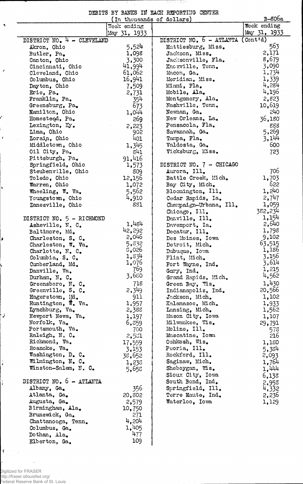|  |  | DEBITS BY BANKS IN EACH REPORTING CENTER |  |
|--|--|------------------------------------------|--|
|  |  |                                          |  |

<u> 1970 - 1971 전</u>

स्य

|                                           | (In thousands of dollars) |                          | B-806a                              |
|-------------------------------------------|---------------------------|--------------------------|-------------------------------------|
|                                           | Week ending               |                          | Week ending                         |
|                                           | May 31, 1933              |                          | May 31, 1933                        |
| DISTRICT NO. 4 - CLEVELAND                |                           | DISTRICT NO. 6 - ATLANTA | $($ Cont <sup><math>d)</math></sup> |
| Akron, Ohio                               | 5,524                     | Hattiesburg, Miss.       | 563                                 |
| Butler, Pa.                               | 1,098                     | Jackson, Miss.           | 2,171                               |
| Canton, Ohio                              | 3,300                     | Jacksonville, Fla.       | 8,679                               |
| Cincinnati, Ohio                          | 41,994                    | Knoxville, Tenn.         | 3,090                               |
| Cleveland, Ohio                           | 61,062                    | Macon, Ga.               | 1,734                               |
| Columbus, Ohio                            | 16,941                    | Meridian, Miss.          | 1,339                               |
| Dayton, Ohio                              | 7,509                     | Miami, Fla.              | 4,284                               |
| Erie, Pa.                                 | 2,731                     | Mobile, Ala.             | 4,196                               |
| Franklin, Pa.                             | 354                       | Montgomery, Ala.         | 2,823                               |
| Greensburg, Pa.                           | 673                       | Nashville, Tenn.         | 10,619                              |
| Mamilton, Ohio                            | 1,0 <sup>11</sup>         | Newnan, Ga.              | 240                                 |
| Homesteod, Pa.                            | 269                       | New Orleans, La.         | 36,180                              |
| Lexington, Ky.                            | 2,223                     | Pensacola, Fla.          | 888                                 |
| Lima, Ohio                                | 902                       | Savannah, Ga.            | 5,269                               |
| Lorain, Ohio                              | 401                       | Tampa, Fla.              | 3,144                               |
| Middletown, Ohio                          | 1,345                     | Valdosta, Ga.            | 600                                 |
| Oil City, Pa.                             | 841                       | Vicksburg, Miss.         | 723                                 |
| Pittsburgh, Pa.                           | 91,416                    |                          |                                     |
| Springfield, Ohio                         | 1,573                     | DISTRICT NO. 7 - CHICAGO |                                     |
| Steubenville, Ohio                        | 809                       | Aurora, Ill.             | 706                                 |
|                                           |                           | Battle Creek, Mich.      | 1,703                               |
| Toledo, Ohio                              | 12,156                    |                          | 622                                 |
| Warren, Ohio                              | 1,072                     | Bay City, Mich.          | 1,240                               |
| Wheeling, W. Va.                          | 5,562                     | Bloomington, Ill.        |                                     |
| Youngstown, Ohio                          | 4,910                     | Cedar Rapids, Ia.        | 2,747                               |
| Zanesville, Ohio                          | 881                       | Champaign-Urbana, Ill.   | 1,059                               |
|                                           |                           | Chicago, Ill.            | 382,234                             |
| DISTRICT NO. 5 - RICHMOND                 |                           | Danville, Ill.           | 1,154                               |
| Asheville, N. C.                          | 1,484                     | Davenport, Ia.           | 2,640                               |
| Baltimore, Md.                            | 42,292                    | Decatur, Ill.            | 1,798                               |
| Charleston, S. C.                         | 2,046                     | Des Moines, Iowa         | 9,102                               |
| Charleston, W. Va.                        | 5,832                     | Detroit, Mich.           | 63,515                              |
| Charlotte, N. C.                          | 5,026                     | Dubuque, Iowa            | 1,186                               |
| Columbia, $S_{\bullet}$ $C_{\bullet}$     | 1,834                     | Flint, Mich.             | 3,156                               |
| Cumberland, Md.                           | 1,076                     | Fort Wayne, Ind.         | 3,614                               |
| Danville, Va.                             | 769                       | Gary, Ind.               | 1,215                               |
| Durham, N. C.                             | 3,680                     | Grand Rapids, Mich.      | 4,562                               |
| Greensboro, N. C.                         | 718                       | Green Bay, Wis.          | 1,430                               |
| Greenville, S. C.                         | 2,349                     | Indianapolis, Ind.       | 20,566                              |
| Hagerstown, Md.                           | 911                       | Jackson, Mich.           | 1,102                               |
| Huntington, $\overline{\mathbf{w}}$ . Va. | 1,957                     | Kalamazoo, Mich.         | 1,933                               |
| Lynchburg, Va.                            | 2,388                     | Lansing, Mich.           | 1,562                               |
| Newport News, Va.                         | 1,197                     | Mason City, Iowa         | 1,107                               |
| Norfolk, Va.                              | 6,859                     | Milwaukee, Wis.          | 29,791                              |
| Portsmouth, Va.                           | 700                       | Moline, Ill.             | 578                                 |
| Raleigh, N. C.                            | 2,551                     | Muscatine, Iowa          | 216                                 |
| Richmond, Va.                             | 17,559                    | Oshkosh, Wis.            | 1,180                               |
| Roanoke, Va.                              | 3,153                     | Peoria, Ill.             | 5,384                               |
| Washington, D. C.                         | 38,652                    | Rockford, Ill.           | 2,093                               |
| Wilmington, N. C.                         | 1,235                     | Saginaw, Mich.           | 1,764                               |
| Winston-Salem, N. C.                      | 5,658                     | Sheboygan, Wis.          | 1,444                               |
|                                           |                           | Sioux City, Iowa         | 6,138                               |
| DISTRICT NO. 6 - ATLANTA                  |                           | South Bend, Ind.         | 2,958                               |
| Albany, Ga.                               | 356                       | Springfield, Ill.        | 4,332                               |
| Atlanta, Ga.                              | 20,302                    | Terre Naute, Ind.        | 2,236                               |
| Augusta, Ga.                              | 2,579                     | Waterloo, Iowa           | 1,129                               |
| Birmingham, Ala.                          | 10,750                    |                          |                                     |
| Brunswick, Ga.                            | 271                       |                          |                                     |
| Chattanooga, Tenn.                        | 4,204                     |                          |                                     |
| Columbus, Ga.                             | 1,405                     |                          |                                     |
| Dothan, Ala.                              | 477                       |                          |                                     |
| Elberton, Ga.                             | 109                       |                          |                                     |

Digitized for FRASER http://fraser.stlouisfed.org/ Federal Reserve Bank of St. Louis

 $\epsilon$ 

 $\rightarrow$ 

 $\mathcal{E}_{\mathcal{A}}$ 

ľ

 $\bar{\pmb{\epsilon}}$ 

Ŷ,

 $\blacktriangleright$ 

 $\frac{1}{2}$ 

 $\frac{1}{\epsilon}$ 

 $\left| \cdot \right|$ 

 $\sum_{i=1}^n \frac{1}{i}$